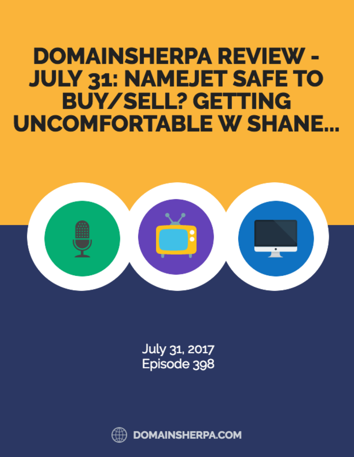## **DOMAINSHERPA REVIEW -JULY 31: NAMEJET SAFE TO BUY/SELL? GETTING UNCOMFORTABLE W SHANE...**



July 31, 2017 Episode 398



**DOMAINSHERPA.COM**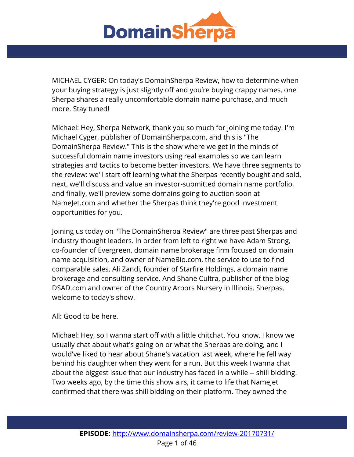

MICHAEL CYGER: On today's DomainSherpa Review, how to determine when your buying strategy is just slightly off and you're buying crappy names, one Sherpa shares a really uncomfortable domain name purchase, and much more. Stay tuned!

Michael: Hey, Sherpa Network, thank you so much for joining me today. I'm Michael Cyger, publisher of DomainSherpa.com, and this is "The DomainSherpa Review." This is the show where we get in the minds of successful domain name investors using real examples so we can learn strategies and tactics to become better investors. We have three segments to the review: we'll start off learning what the Sherpas recently bought and sold, next, we'll discuss and value an investor-submitted domain name portfolio, and finally, we'll preview some domains going to auction soon at NameJet.com and whether the Sherpas think they're good investment opportunities for you.

Joining us today on "The DomainSherpa Review" are three past Sherpas and industry thought leaders. In order from left to right we have Adam Strong, co-founder of Evergreen, domain name brokerage firm focused on domain name acquisition, and owner of NameBio.com, the service to use to find comparable sales. Ali Zandi, founder of Starfire Holdings, a domain name brokerage and consulting service. And Shane Cultra, publisher of the blog DSAD.com and owner of the Country Arbors Nursery in Illinois. Sherpas, welcome to today's show.

## All: Good to be here.

Michael: Hey, so I wanna start off with a little chitchat. You know, I know we usually chat about what's going on or what the Sherpas are doing, and I would've liked to hear about Shane's vacation last week, where he fell way behind his daughter when they went for a run. But this week I wanna chat about the biggest issue that our industry has faced in a while -- shill bidding. Two weeks ago, by the time this show airs, it came to life that NameJet confirmed that there was shill bidding on their platform. They owned the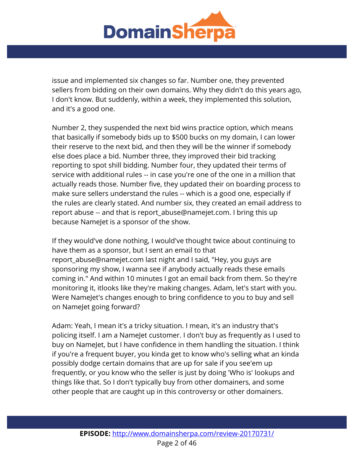

issue and implemented six changes so far. Number one, they prevented sellers from bidding on their own domains. Why they didn't do this years ago, I don't know. But suddenly, within a week, they implemented this solution, and it's a good one.

Number 2, they suspended the next bid wins practice option, which means that basically if somebody bids up to \$500 bucks on my domain, I can lower their reserve to the next bid, and then they will be the winner if somebody else does place a bid. Number three, they improved their bid tracking reporting to spot shill bidding. Number four, they updated their terms of service with additional rules -- in case you're one of the one in a million that actually reads those. Number five, they updated their on boarding process to make sure sellers understand the rules -- which is a good one, especially if the rules are clearly stated. And number six, they created an email address to report abuse -- and that is report\_abuse@namejet.com. I bring this up because NameJet is a sponsor of the show.

If they would've done nothing, I would've thought twice about continuing to have them as a sponsor, but I sent an email to that report\_abuse@namejet.com last night and I said, "Hey, you guys are sponsoring my show, I wanna see if anybody actually reads these emails coming in." And within 10 minutes I got an email back from them. So they're monitoring it, itlooks like they're making changes. Adam, let's start with you. Were NameJet's changes enough to bring confidence to you to buy and sell on NameJet going forward?

Adam: Yeah, I mean it's a tricky situation. I mean, it's an industry that's policing itself. I am a NameJet customer. I don't buy as frequently as I used to buy on NameJet, but I have confidence in them handling the situation. I think if you're a frequent buyer, you kinda get to know who's selling what an kinda possibly dodge certain domains that are up for sale if you see'em up frequently, or you know who the seller is just by doing 'Who is' lookups and things like that. So I don't typically buy from other domainers, and some other people that are caught up in this controversy or other domainers.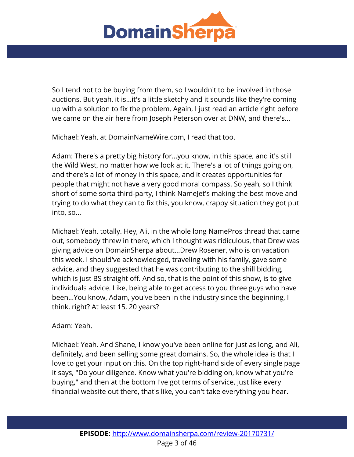

So I tend not to be buying from them, so I wouldn't to be involved in those auctions. But yeah, it is...it's a little sketchy and it sounds like they're coming up with a solution to fix the problem. Again, I just read an article right before we came on the air here from Joseph Peterson over at DNW, and there's...

Michael: Yeah, at DomainNameWire.com, I read that too.

Adam: There's a pretty big history for...you know, in this space, and it's still the Wild West, no matter how we look at it. There's a lot of things going on, and there's a lot of money in this space, and it creates opportunities for people that might not have a very good moral compass. So yeah, so I think short of some sorta third-party, I think NameJet's making the best move and trying to do what they can to fix this, you know, crappy situation they got put into, so...

Michael: Yeah, totally. Hey, Ali, in the whole long NamePros thread that came out, somebody threw in there, which I thought was ridiculous, that Drew was giving advice on DomainSherpa about...Drew Rosener, who is on vacation this week, I should've acknowledged, traveling with his family, gave some advice, and they suggested that he was contributing to the shill bidding, which is just BS straight off. And so, that is the point of this show, is to give individuals advice. Like, being able to get access to you three guys who have been...You know, Adam, you've been in the industry since the beginning, I think, right? At least 15, 20 years?

Adam: Yeah.

Michael: Yeah. And Shane, I know you've been online for just as long, and Ali, definitely, and been selling some great domains. So, the whole idea is that I love to get your input on this. On the top right-hand side of every single page it says, "Do your diligence. Know what you're bidding on, know what you're buying," and then at the bottom I've got terms of service, just like every financial website out there, that's like, you can't take everything you hear.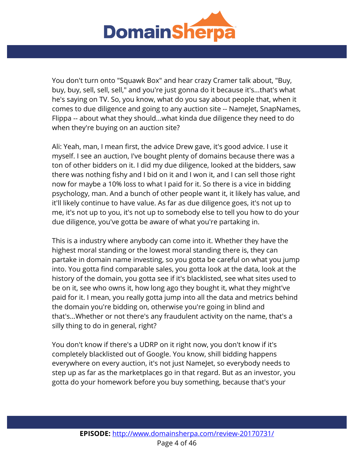

You don't turn onto "Squawk Box" and hear crazy Cramer talk about, "Buy, buy, buy, sell, sell, sell," and you're just gonna do it because it's...that's what he's saying on TV. So, you know, what do you say about people that, when it comes to due diligence and going to any auction site -- NameJet, SnapNames, Flippa -- about what they should...what kinda due diligence they need to do when they're buying on an auction site?

Ali: Yeah, man, I mean first, the advice Drew gave, it's good advice. I use it myself. I see an auction, I've bought plenty of domains because there was a ton of other bidders on it. I did my due diligence, looked at the bidders, saw there was nothing fishy and I bid on it and I won it, and I can sell those right now for maybe a 10% loss to what I paid for it. So there is a vice in bidding psychology, man. And a bunch of other people want it, it likely has value, and it'll likely continue to have value. As far as due diligence goes, it's not up to me, it's not up to you, it's not up to somebody else to tell you how to do your due diligence, you've gotta be aware of what you're partaking in.

This is a industry where anybody can come into it. Whether they have the highest moral standing or the lowest moral standing there is, they can partake in domain name investing, so you gotta be careful on what you jump into. You gotta find comparable sales, you gotta look at the data, look at the history of the domain, you gotta see if it's blacklisted, see what sites used to be on it, see who owns it, how long ago they bought it, what they might've paid for it. I mean, you really gotta jump into all the data and metrics behind the domain you're bidding on, otherwise you're going in blind and that's...Whether or not there's any fraudulent activity on the name, that's a silly thing to do in general, right?

You don't know if there's a UDRP on it right now, you don't know if it's completely blacklisted out of Google. You know, shill bidding happens everywhere on every auction, it's not just NameJet, so everybody needs to step up as far as the marketplaces go in that regard. But as an investor, you gotta do your homework before you buy something, because that's your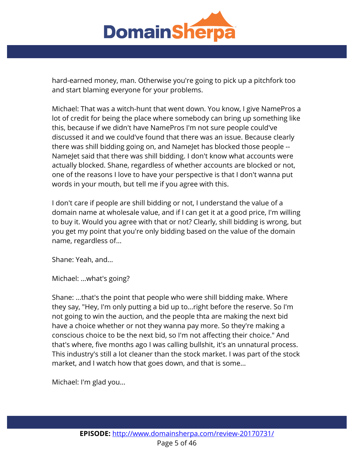

hard-earned money, man. Otherwise you're going to pick up a pitchfork too and start blaming everyone for your problems.

Michael: That was a witch-hunt that went down. You know, I give NamePros a lot of credit for being the place where somebody can bring up something like this, because if we didn't have NamePros I'm not sure people could've discussed it and we could've found that there was an issue. Because clearly there was shill bidding going on, and NameJet has blocked those people -- NameJet said that there was shill bidding. I don't know what accounts were actually blocked. Shane, regardless of whether accounts are blocked or not, one of the reasons I love to have your perspective is that I don't wanna put words in your mouth, but tell me if you agree with this.

I don't care if people are shill bidding or not, I understand the value of a domain name at wholesale value, and if I can get it at a good price, I'm willing to buy it. Would you agree with that or not? Clearly, shill bidding is wrong, but you get my point that you're only bidding based on the value of the domain name, regardless of...

Shane: Yeah, and...

Michael: ...what's going?

Shane: ...that's the point that people who were shill bidding make. Where they say, "Hey, I'm only putting a bid up to...right before the reserve. So I'm not going to win the auction, and the people thta are making the next bid have a choice whether or not they wanna pay more. So they're making a conscious choice to be the next bid, so I'm not affecting their choice." And that's where, five months ago I was calling bullshit, it's an unnatural process. This industry's still a lot cleaner than the stock market. I was part of the stock market, and I watch how that goes down, and that is some...

Michael: I'm glad you...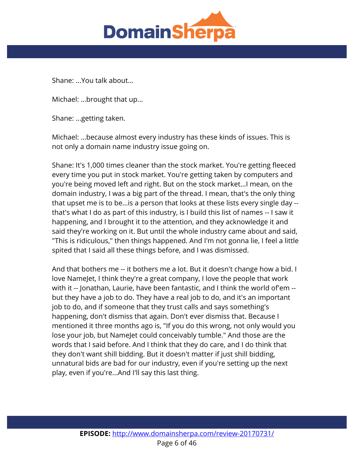

Shane: ...You talk about...

Michael: ...brought that up...

Shane: ...getting taken.

Michael: ...because almost every industry has these kinds of issues. This is not only a domain name industry issue going on.

Shane: It's 1,000 times cleaner than the stock market. You're getting fleeced every time you put in stock market. You're getting taken by computers and you're being moved left and right. But on the stock market...I mean, on the domain industry, I was a big part of the thread. I mean, that's the only thing that upset me is to be...is a person that looks at these lists every single day - that's what I do as part of this industry, is I build this list of names -- I saw it happening, and I brought it to the attention, and they acknowledge it and said they're working on it. But until the whole industry came about and said, "This is ridiculous," then things happened. And I'm not gonna lie, I feel a little spited that I said all these things before, and I was dismissed.

And that bothers me -- it bothers me a lot. But it doesn't change how a bid. I love NameJet, I think they're a great company, I love the people that work with it -- Jonathan, Laurie, have been fantastic, and I think the world of'em - but they have a job to do. They have a real job to do, and it's an important job to do, and if someone that they trust calls and says something's happening, don't dismiss that again. Don't ever dismiss that. Because I mentioned it three months ago is, "If you do this wrong, not only would you lose your job, but NameJet could conceivably tumble." And those are the words that I said before. And I think that they do care, and I do think that they don't want shill bidding. But it doesn't matter if just shill bidding, unnatural bids are bad for our industry, even if you're setting up the next play, even if you're...And I'll say this last thing.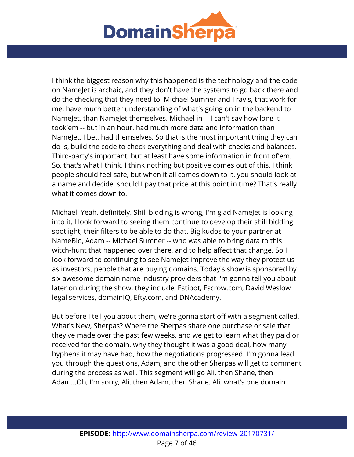

I think the biggest reason why this happened is the technology and the code on NameJet is archaic, and they don't have the systems to go back there and do the checking that they need to. Michael Sumner and Travis, that work for me, have much better understanding of what's going on in the backend to NameJet, than NameJet themselves. Michael in -- I can't say how long it took'em -- but in an hour, had much more data and information than NameJet, I bet, had themselves. So that is the most important thing they can do is, build the code to check everything and deal with checks and balances. Third-party's important, but at least have some information in front of'em. So, that's what I think. I think nothing but positive comes out of this, I think people should feel safe, but when it all comes down to it, you should look at a name and decide, should I pay that price at this point in time? That's really what it comes down to.

Michael: Yeah, definitely. Shill bidding is wrong, I'm glad NameJet is looking into it. I look forward to seeing them continue to develop their shill bidding spotlight, their filters to be able to do that. Big kudos to your partner at NameBio, Adam -- Michael Sumner -- who was able to bring data to this witch-hunt that happened over there, and to help affect that change. So I look forward to continuing to see NameJet improve the way they protect us as investors, people that are buying domains. Today's show is sponsored by six awesome domain name industry providers that I'm gonna tell you about later on during the show, they include, Estibot, Escrow.com, David Weslow legal services, domainIQ, Efty.com, and DNAcademy.

But before I tell you about them, we're gonna start off with a segment called, What's New, Sherpas? Where the Sherpas share one purchase or sale that they've made over the past few weeks, and we get to learn what they paid or received for the domain, why they thought it was a good deal, how many hyphens it may have had, how the negotiations progressed. I'm gonna lead you through the questions, Adam, and the other Sherpas will get to comment during the process as well. This segment will go Ali, then Shane, then Adam...Oh, I'm sorry, Ali, then Adam, then Shane. Ali, what's one domain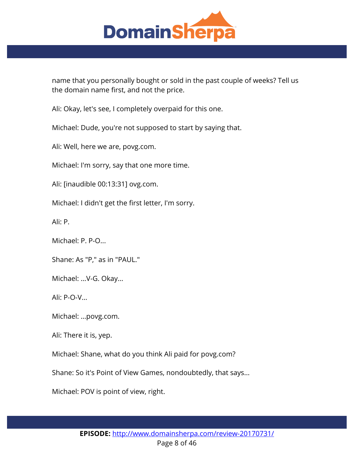

name that you personally bought or sold in the past couple of weeks? Tell us the domain name first, and not the price.

Ali: Okay, let's see, I completely overpaid for this one.

Michael: Dude, you're not supposed to start by saying that.

Ali: Well, here we are, povg.com.

Michael: I'm sorry, say that one more time.

Ali: [inaudible 00:13:31] ovg.com.

Michael: I didn't get the first letter, I'm sorry.

Ali: P.

Michael: P. P-O...

Shane: As "P," as in "PAUL."

Michael: ...V-G. Okay...

Ali: P-O-V...

Michael: ...povg.com.

Ali: There it is, yep.

Michael: Shane, what do you think Ali paid for povg.com?

Shane: So it's Point of View Games, nondoubtedly, that says...

Michael: POV is point of view, right.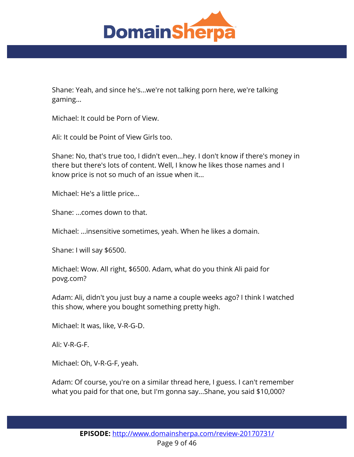

Shane: Yeah, and since he's...we're not talking porn here, we're talking gaming...

Michael: It could be Porn of View.

Ali: It could be Point of View Girls too.

Shane: No, that's true too, I didn't even...hey. I don't know if there's money in there but there's lots of content. Well, I know he likes those names and I know price is not so much of an issue when it...

Michael: He's a little price...

Shane: ...comes down to that.

Michael: ...insensitive sometimes, yeah. When he likes a domain.

Shane: I will say \$6500.

Michael: Wow. All right, \$6500. Adam, what do you think Ali paid for povg.com?

Adam: Ali, didn't you just buy a name a couple weeks ago? I think I watched this show, where you bought something pretty high.

Michael: It was, like, V-R-G-D.

Ali: V-R-G-F.

Michael: Oh, V-R-G-F, yeah.

Adam: Of course, you're on a similar thread here, I guess. I can't remember what you paid for that one, but I'm gonna say...Shane, you said \$10,000?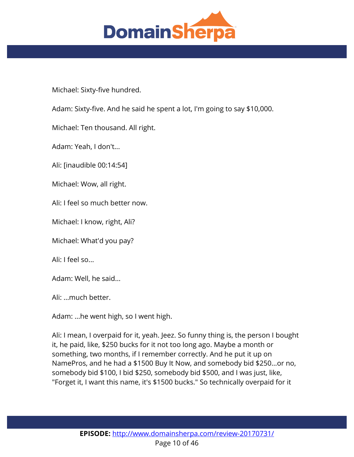

Michael: Sixty-five hundred.

Adam: Sixty-five. And he said he spent a lot, I'm going to say \$10,000.

Michael: Ten thousand. All right.

Adam: Yeah, I don't...

Ali: [inaudible 00:14:54]

Michael: Wow, all right.

Ali: I feel so much better now.

Michael: I know, right, Ali?

Michael: What'd you pay?

Ali: I feel so...

Adam: Well, he said...

Ali: ...much better.

Adam: ...he went high, so I went high.

Ali: I mean, I overpaid for it, yeah. Jeez. So funny thing is, the person I bought it, he paid, like, \$250 bucks for it not too long ago. Maybe a month or something, two months, if I remember correctly. And he put it up on NamePros, and he had a \$1500 Buy It Now, and somebody bid \$250...or no, somebody bid \$100, I bid \$250, somebody bid \$500, and I was just, like, "Forget it, I want this name, it's \$1500 bucks." So technically overpaid for it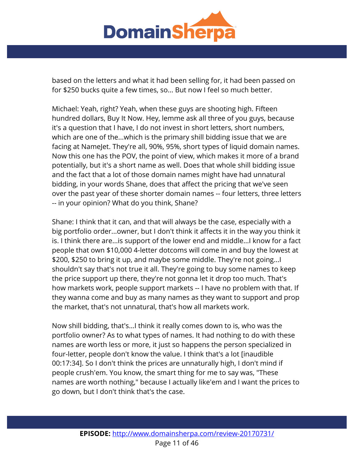

based on the letters and what it had been selling for, it had been passed on for \$250 bucks quite a few times, so... But now I feel so much better.

Michael: Yeah, right? Yeah, when these guys are shooting high. Fifteen hundred dollars, Buy It Now. Hey, lemme ask all three of you guys, because it's a question that I have, I do not invest in short letters, short numbers, which are one of the...which is the primary shill bidding issue that we are facing at NameJet. They're all, 90%, 95%, short types of liquid domain names. Now this one has the POV, the point of view, which makes it more of a brand potentially, but it's a short name as well. Does that whole shill bidding issue and the fact that a lot of those domain names might have had unnatural bidding, in your words Shane, does that affect the pricing that we've seen over the past year of these shorter domain names -- four letters, three letters -- in your opinion? What do you think, Shane?

Shane: I think that it can, and that will always be the case, especially with a big portfolio order...owner, but I don't think it affects it in the way you think it is. I think there are...is support of the lower end and middle...I know for a fact people that own \$10,000 4-letter dotcoms will come in and buy the lowest at \$200, \$250 to bring it up, and maybe some middle. They're not going...I shouldn't say that's not true it all. They're going to buy some names to keep the price support up there, they're not gonna let it drop too much. That's how markets work, people support markets -- I have no problem with that. If they wanna come and buy as many names as they want to support and prop the market, that's not unnatural, that's how all markets work.

Now shill bidding, that's...I think it really comes down to is, who was the portfolio owner? As to what types of names. It had nothing to do with these names are worth less or more, it just so happens the person specialized in four-letter, people don't know the value. I think that's a lot [inaudible 00:17:34]. So I don't think the prices are unnaturally high, I don't mind if people crush'em. You know, the smart thing for me to say was, "These names are worth nothing," because I actually like'em and I want the prices to go down, but I don't think that's the case.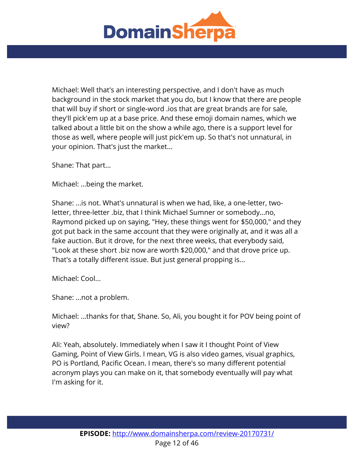

Michael: Well that's an interesting perspective, and I don't have as much background in the stock market that you do, but I know that there are people that will buy if short or single-word .ios that are great brands are for sale, they'll pick'em up at a base price. And these emoji domain names, which we talked about a little bit on the show a while ago, there is a support level for those as well, where people will just pick'em up. So that's not unnatural, in your opinion. That's just the market...

Shane: That part...

Michael: ...being the market.

Shane: ...is not. What's unnatural is when we had, like, a one-letter, twoletter, three-letter .biz, that I think Michael Sumner or somebody...no, Raymond picked up on saying, "Hey, these things went for \$50,000," and they got put back in the same account that they were originally at, and it was all a fake auction. But it drove, for the next three weeks, that everybody said, "Look at these short .biz now are worth \$20,000," and that drove price up. That's a totally different issue. But just general propping is...

Michael: Cool...

Shane: ...not a problem.

Michael: ...thanks for that, Shane. So, Ali, you bought it for POV being point of view?

Ali: Yeah, absolutely. Immediately when I saw it I thought Point of View Gaming, Point of View Girls. I mean, VG is also video games, visual graphics, PO is Portland, Pacific Ocean. I mean, there's so many different potential acronym plays you can make on it, that somebody eventually will pay what I'm asking for it.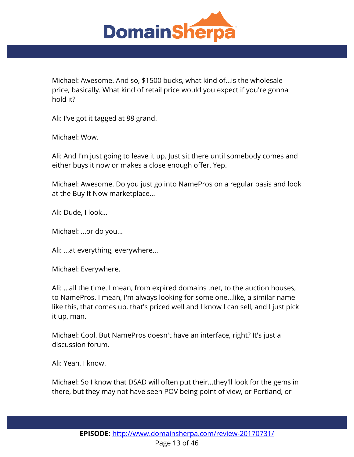

Michael: Awesome. And so, \$1500 bucks, what kind of...is the wholesale price, basically. What kind of retail price would you expect if you're gonna hold it?

Ali: I've got it tagged at 88 grand.

Michael: Wow.

Ali: And I'm just going to leave it up. Just sit there until somebody comes and either buys it now or makes a close enough offer. Yep.

Michael: Awesome. Do you just go into NamePros on a regular basis and look at the Buy It Now marketplace...

Ali: Dude, I look...

Michael: ...or do you...

Ali: ...at everything, everywhere...

Michael: Everywhere.

Ali: ...all the time. I mean, from expired domains .net, to the auction houses, to NamePros. I mean, I'm always looking for some one...like, a similar name like this, that comes up, that's priced well and I know I can sell, and I just pick it up, man.

Michael: Cool. But NamePros doesn't have an interface, right? It's just a discussion forum.

Ali: Yeah, I know.

Michael: So I know that DSAD will often put their...they'll look for the gems in there, but they may not have seen POV being point of view, or Portland, or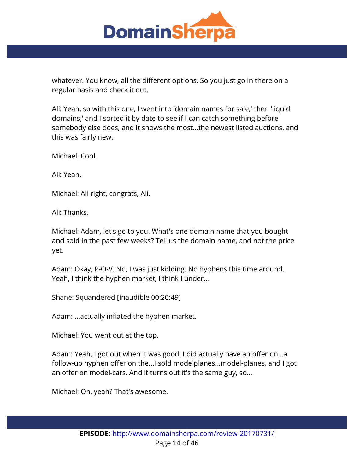

whatever. You know, all the different options. So you just go in there on a regular basis and check it out.

Ali: Yeah, so with this one, I went into 'domain names for sale,' then 'liquid domains,' and I sorted it by date to see if I can catch something before somebody else does, and it shows the most...the newest listed auctions, and this was fairly new.

Michael: Cool.

Ali: Yeah.

Michael: All right, congrats, Ali.

Ali: Thanks.

Michael: Adam, let's go to you. What's one domain name that you bought and sold in the past few weeks? Tell us the domain name, and not the price yet.

Adam: Okay, P-O-V. No, I was just kidding. No hyphens this time around. Yeah, I think the hyphen market, I think I under...

Shane: Squandered [inaudible 00:20:49]

Adam: ...actually inflated the hyphen market.

Michael: You went out at the top.

Adam: Yeah, I got out when it was good. I did actually have an offer on...a follow-up hyphen offer on the...I sold modelplanes...model-planes, and I got an offer on model-cars. And it turns out it's the same guy, so...

Michael: Oh, yeah? That's awesome.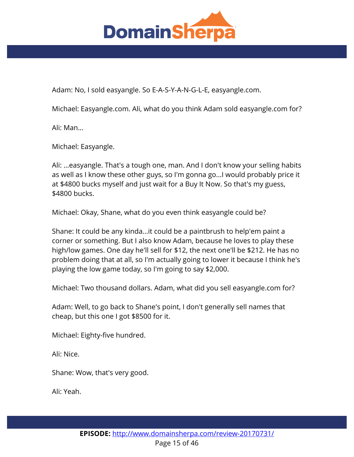

Adam: No, I sold easyangle. So E-A-S-Y-A-N-G-L-E, easyangle.com.

Michael: Easyangle.com. Ali, what do you think Adam sold easyangle.com for?

Ali: Man...

Michael: Easyangle.

Ali: ...easyangle. That's a tough one, man. And I don't know your selling habits as well as I know these other guys, so I'm gonna go...I would probably price it at \$4800 bucks myself and just wait for a Buy It Now. So that's my guess, \$4800 bucks.

Michael: Okay, Shane, what do you even think easyangle could be?

Shane: It could be any kinda...it could be a paintbrush to help'em paint a corner or something. But I also know Adam, because he loves to play these high/low games. One day he'll sell for \$12, the next one'll be \$212. He has no problem doing that at all, so I'm actually going to lower it because I think he's playing the low game today, so I'm going to say \$2,000.

Michael: Two thousand dollars. Adam, what did you sell easyangle.com for?

Adam: Well, to go back to Shane's point, I don't generally sell names that cheap, but this one I got \$8500 for it.

Michael: Eighty-five hundred.

Ali: Nice.

Shane: Wow, that's very good.

Ali: Yeah.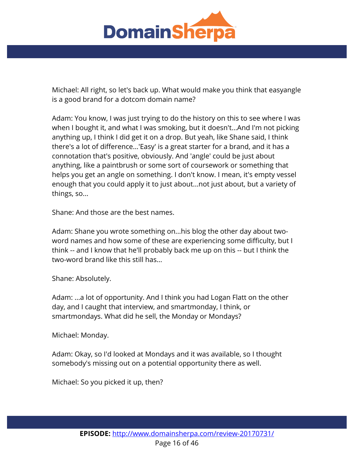

Michael: All right, so let's back up. What would make you think that easyangle is a good brand for a dotcom domain name?

Adam: You know, I was just trying to do the history on this to see where I was when I bought it, and what I was smoking, but it doesn't...And I'm not picking anything up, I think I did get it on a drop. But yeah, like Shane said, I think there's a lot of difference...'Easy' is a great starter for a brand, and it has a connotation that's positive, obviously. And 'angle' could be just about anything, like a paintbrush or some sort of coursework or something that helps you get an angle on something. I don't know. I mean, it's empty vessel enough that you could apply it to just about...not just about, but a variety of things, so...

Shane: And those are the best names.

Adam: Shane you wrote something on...his blog the other day about twoword names and how some of these are experiencing some difficulty, but I think -- and I know that he'll probably back me up on this -- but I think the two-word brand like this still has...

Shane: Absolutely.

Adam: ...a lot of opportunity. And I think you had Logan Flatt on the other day, and I caught that interview, and smartmonday, I think, or smartmondays. What did he sell, the Monday or Mondays?

Michael: Monday.

Adam: Okay, so I'd looked at Mondays and it was available, so I thought somebody's missing out on a potential opportunity there as well.

Michael: So you picked it up, then?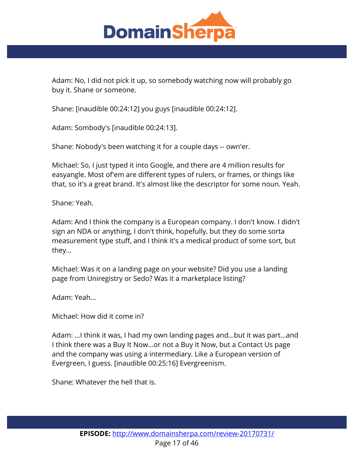

Adam: No, I did not pick it up, so somebody watching now will probably go buy it. Shane or someone.

Shane: [inaudible 00:24:12] you guys [inaudible 00:24:12].

Adam: Sombody's [inaudible 00:24:13].

Shane: Nobody's been watching it for a couple days -- own'er.

Michael: So, I just typed it into Google, and there are 4 million results for easyangle. Most of'em are different types of rulers, or frames, or things like that, so it's a great brand. It's almost like the descriptor for some noun. Yeah.

Shane: Yeah.

Adam: And I think the company is a European company. I don't know. I didn't sign an NDA or anything, I don't think, hopefully, but they do some sorta measurement type stuff, and I think it's a medical product of some sort, but they...

Michael: Was it on a landing page on your website? Did you use a landing page from Uniregistry or Sedo? Was it a marketplace listing?

Adam: Yeah...

Michael: How did it come in?

Adam: ...I think it was, I had my own landing pages and...but it was part...and I think there was a Buy It Now...or not a Buy It Now, but a Contact Us page and the company was using a intermediary. Like a European version of Evergreen, I guess. [inaudible 00:25:16] Evergreenism.

Shane: Whatever the hell that is.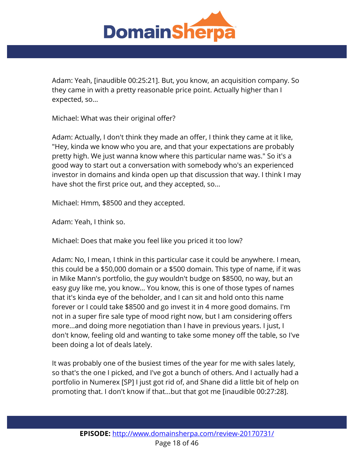

Adam: Yeah, [inaudible 00:25:21]. But, you know, an acquisition company. So they came in with a pretty reasonable price point. Actually higher than I expected, so...

Michael: What was their original offer?

Adam: Actually, I don't think they made an offer, I think they came at it like, "Hey, kinda we know who you are, and that your expectations are probably pretty high. We just wanna know where this particular name was." So it's a good way to start out a conversation with somebody who's an experienced investor in domains and kinda open up that discussion that way. I think I may have shot the first price out, and they accepted, so...

Michael: Hmm, \$8500 and they accepted.

Adam: Yeah, I think so.

Michael: Does that make you feel like you priced it too low?

Adam: No, I mean, I think in this particular case it could be anywhere. I mean, this could be a \$50,000 domain or a \$500 domain. This type of name, if it was in Mike Mann's portfolio, the guy wouldn't budge on \$8500, no way, but an easy guy like me, you know... You know, this is one of those types of names that it's kinda eye of the beholder, and I can sit and hold onto this name forever or I could take \$8500 and go invest it in 4 more good domains. I'm not in a super fire sale type of mood right now, but I am considering offers more...and doing more negotiation than I have in previous years. I just, I don't know, feeling old and wanting to take some money off the table, so I've been doing a lot of deals lately.

It was probably one of the busiest times of the year for me with sales lately, so that's the one I picked, and I've got a bunch of others. And I actually had a portfolio in Numerex [SP] I just got rid of, and Shane did a little bit of help on promoting that. I don't know if that...but that got me [inaudible 00:27:28].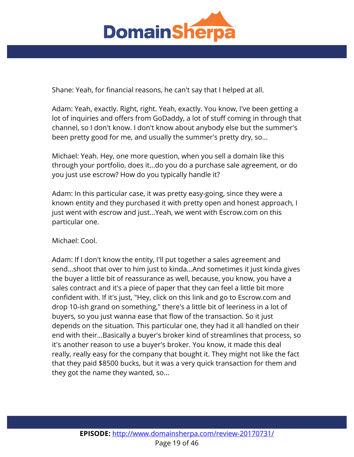

Shane: Yeah, for financial reasons, he can't say that I helped at all.

Adam: Yeah, exactly. Right, right. Yeah, exactly. You know, I've been getting a lot of inquiries and offers from GoDaddy, a lot of stuff coming in through that channel, so I don't know. I don't know about anybody else but the summer's been pretty good for me, and usually the summer's pretty dry, so...

Michael: Yeah. Hey, one more question, when you sell a domain like this through your portfolio, does it...do you do a purchase sale agreement, or do you just use escrow? How do you typically handle it?

Adam: In this particular case, it was pretty easy-going, since they were a known entity and they purchased it with pretty open and honest approach, I just went with escrow and just...Yeah, we went with Escrow.com on this particular one.

Michael: Cool.

Adam: If I don't know the entity, I'll put together a sales agreement and send...shoot that over to him just to kinda...And sometimes it just kinda gives the buyer a little bit of reassurance as well, because, you know, you have a sales contract and it's a piece of paper that they can feel a little bit more confident with. If it's just, "Hey, click on this link and go to Escrow.com and drop 10-ish grand on something," there's a little bit of leeriness in a lot of buyers, so you just wanna ease that flow of the transaction. So it just depends on the situation. This particular one, they had it all handled on their end with their...Basically a buyer's broker kind of streamlines that process, so it's another reason to use a buyer's broker. You know, it made this deal really, really easy for the company that bought it. They might not like the fact that they paid \$8500 bucks, but it was a very quick transaction for them and they got the name they wanted, so...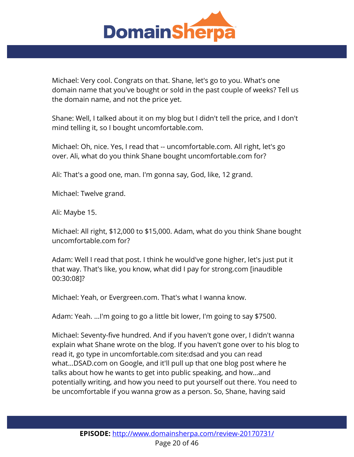

Michael: Very cool. Congrats on that. Shane, let's go to you. What's one domain name that you've bought or sold in the past couple of weeks? Tell us the domain name, and not the price yet.

Shane: Well, I talked about it on my blog but I didn't tell the price, and I don't mind telling it, so I bought uncomfortable.com.

Michael: Oh, nice. Yes, I read that -- uncomfortable.com. All right, let's go over. Ali, what do you think Shane bought uncomfortable.com for?

Ali: That's a good one, man. I'm gonna say, God, like, 12 grand.

Michael: Twelve grand.

Ali: Maybe 15.

Michael: All right, \$12,000 to \$15,000. Adam, what do you think Shane bought uncomfortable.com for?

Adam: Well I read that post. I think he would've gone higher, let's just put it that way. That's like, you know, what did I pay for strong.com [inaudible 00:30:08]?

Michael: Yeah, or Evergreen.com. That's what I wanna know.

Adam: Yeah. ...I'm going to go a little bit lower, I'm going to say \$7500.

Michael: Seventy-five hundred. And if you haven't gone over, I didn't wanna explain what Shane wrote on the blog. If you haven't gone over to his blog to read it, go type in uncomfortable.com site:dsad and you can read what...DSAD.com on Google, and it'll pull up that one blog post where he talks about how he wants to get into public speaking, and how...and potentially writing, and how you need to put yourself out there. You need to be uncomfortable if you wanna grow as a person. So, Shane, having said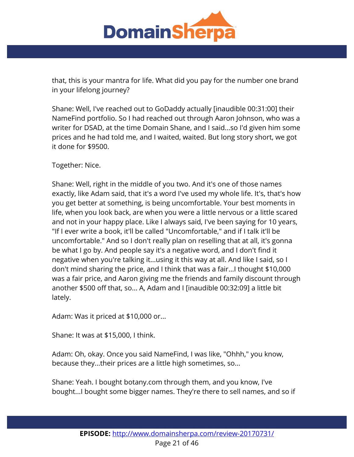

that, this is your mantra for life. What did you pay for the number one brand in your lifelong journey?

Shane: Well, I've reached out to GoDaddy actually [inaudible 00:31:00] their NameFind portfolio. So I had reached out through Aaron Johnson, who was a writer for DSAD, at the time Domain Shane, and I said...so I'd given him some prices and he had told me, and I waited, waited. But long story short, we got it done for \$9500.

Together: Nice.

Shane: Well, right in the middle of you two. And it's one of those names exactly, like Adam said, that it's a word I've used my whole life. It's, that's how you get better at something, is being uncomfortable. Your best moments in life, when you look back, are when you were a little nervous or a little scared and not in your happy place. Like I always said, I've been saying for 10 years, "If I ever write a book, it'll be called "Uncomfortable," and if I talk it'll be uncomfortable." And so I don't really plan on reselling that at all, it's gonna be what I go by. And people say it's a negative word, and I don't find it negative when you're talking it...using it this way at all. And like I said, so I don't mind sharing the price, and I think that was a fair...I thought \$10,000 was a fair price, and Aaron giving me the friends and family discount through another \$500 off that, so... A, Adam and I [inaudible 00:32:09] a little bit lately.

Adam: Was it priced at \$10,000 or...

Shane: It was at \$15,000, I think.

Adam: Oh, okay. Once you said NameFind, I was like, "Ohhh," you know, because they...their prices are a little high sometimes, so...

Shane: Yeah. I bought botany.com through them, and you know, I've bought...I bought some bigger names. They're there to sell names, and so if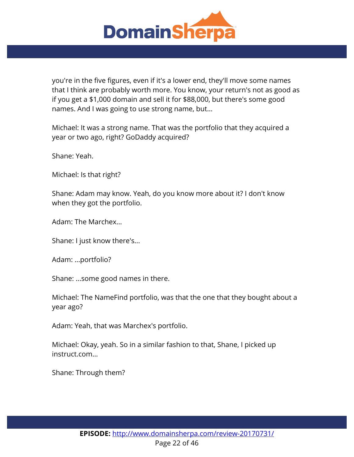

you're in the five figures, even if it's a lower end, they'll move some names that I think are probably worth more. You know, your return's not as good as if you get a \$1,000 domain and sell it for \$88,000, but there's some good names. And I was going to use strong name, but...

Michael: It was a strong name. That was the portfolio that they acquired a year or two ago, right? GoDaddy acquired?

Shane: Yeah.

Michael: Is that right?

Shane: Adam may know. Yeah, do you know more about it? I don't know when they got the portfolio.

Adam: The Marchex...

Shane: I just know there's...

Adam: ...portfolio?

Shane: ...some good names in there.

Michael: The NameFind portfolio, was that the one that they bought about a year ago?

Adam: Yeah, that was Marchex's portfolio.

Michael: Okay, yeah. So in a similar fashion to that, Shane, I picked up instruct.com...

Shane: Through them?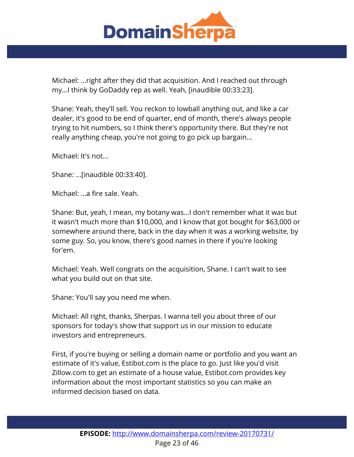

Michael: ...right after they did that acquisition. And I reached out through my...I think by GoDaddy rep as well. Yeah, [inaudible 00:33:23].

Shane: Yeah, they'll sell. You reckon to lowball anything out, and like a car dealer, it's good to be end of quarter, end of month, there's always people trying to hit numbers, so I think there's opportunity there. But they're not really anything cheap, you're not going to go pick up bargain...

Michael: It's not...

Shane: ...[inaudible 00:33:40].

Michael: ...a fire sale. Yeah.

Shane: But, yeah, I mean, my botany was...I don't remember what it was but it wasn't much more than \$10,000, and I know that got bought for \$63,000 or somewhere around there, back in the day when it was a working website, by some guy. So, you know, there's good names in there if you're looking for'em.

Michael: Yeah. Well congrats on the acquisition, Shane. I can't wait to see what you build out on that site.

Shane: You'll say you need me when.

Michael: All right, thanks, Sherpas. I wanna tell you about three of our sponsors for today's show that support us in our mission to educate investors and entrepreneurs.

First, if you're buying or selling a domain name or portfolio and you want an estimate of it's value, Estibot.com is the place to go. Just like you'd visit Zillow.com to get an estimate of a house value, Estibot.com provides key information about the most important statistics so you can make an informed decision based on data.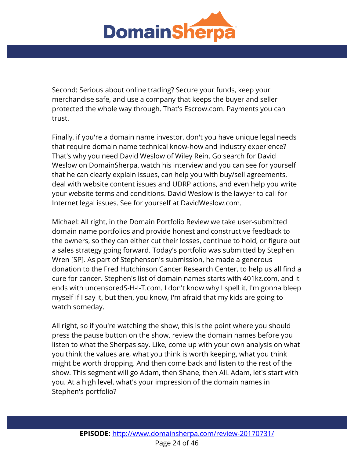

Second: Serious about online trading? Secure your funds, keep your merchandise safe, and use a company that keeps the buyer and seller protected the whole way through. That's Escrow.com. Payments you can trust.

Finally, if you're a domain name investor, don't you have unique legal needs that require domain name technical know-how and industry experience? That's why you need David Weslow of Wiley Rein. Go search for David Weslow on DomainSherpa, watch his interview and you can see for yourself that he can clearly explain issues, can help you with buy/sell agreements, deal with website content issues and UDRP actions, and even help you write your website terms and conditions. David Weslow is the lawyer to call for Internet legal issues. See for yourself at DavidWeslow.com.

Michael: All right, in the Domain Portfolio Review we take user-submitted domain name portfolios and provide honest and constructive feedback to the owners, so they can either cut their losses, continue to hold, or figure out a sales strategy going forward. Today's portfolio was submitted by Stephen Wren [SP]. As part of Stephenson's submission, he made a generous donation to the Fred Hutchinson Cancer Research Center, to help us all find a cure for cancer. Stephen's list of domain names starts with 401kz.com, and it ends with uncensoredS-H-I-T.com. I don't know why I spell it. I'm gonna bleep myself if I say it, but then, you know, I'm afraid that my kids are going to watch someday.

All right, so if you're watching the show, this is the point where you should press the pause button on the show, review the domain names before you listen to what the Sherpas say. Like, come up with your own analysis on what you think the values are, what you think is worth keeping, what you think might be worth dropping. And then come back and listen to the rest of the show. This segment will go Adam, then Shane, then Ali. Adam, let's start with you. At a high level, what's your impression of the domain names in Stephen's portfolio?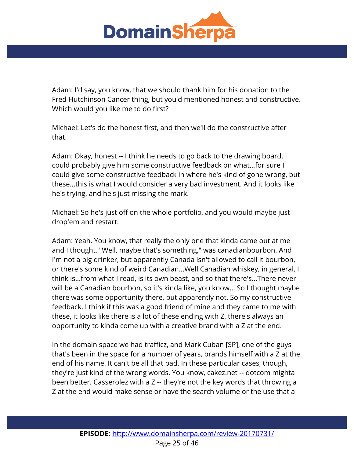

Adam: I'd say, you know, that we should thank him for his donation to the Fred Hutchinson Cancer thing, but you'd mentioned honest and constructive. Which would you like me to do first?

Michael: Let's do the honest first, and then we'll do the constructive after that.

Adam: Okay, honest -- I think he needs to go back to the drawing board. I could probably give him some constructive feedback on what...for sure I could give some constructive feedback in where he's kind of gone wrong, but these...this is what I would consider a very bad investment. And it looks like he's trying, and he's just missing the mark.

Michael: So he's just off on the whole portfolio, and you would maybe just drop'em and restart.

Adam: Yeah. You know, that really the only one that kinda came out at me and I thought, "Well, maybe that's something," was canadianbourbon. And I'm not a big drinker, but apparently Canada isn't allowed to call it bourbon, or there's some kind of weird Canadian...Well Canadian whiskey, in general, I think is...from what I read, is its own beast, and so that there's...There never will be a Canadian bourbon, so it's kinda like, you know... So I thought maybe there was some opportunity there, but apparently not. So my constructive feedback, I think if this was a good friend of mine and they came to me with these, it looks like there is a lot of these ending with Z, there's always an opportunity to kinda come up with a creative brand with a Z at the end.

In the domain space we had trafficz, and Mark Cuban [SP], one of the guys that's been in the space for a number of years, brands himself with a Z at the end of his name. It can't be all that bad. In these particular cases, though, they're just kind of the wrong words. You know, cakez.net -- dotcom mighta been better. Casserolez with a Z -- they're not the key words that throwing a Z at the end would make sense or have the search volume or the use that a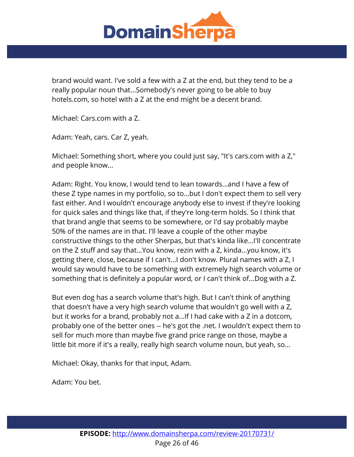

brand would want. I've sold a few with a Z at the end, but they tend to be a really popular noun that...Somebody's never going to be able to buy hotels.com, so hotel with a Z at the end might be a decent brand.

Michael: Cars.com with a Z.

Adam: Yeah, cars. Car Z, yeah.

Michael: Something short, where you could just say, "It's cars.com with a Z," and people know...

Adam: Right. You know, I would tend to lean towards...and I have a few of these Z type names in my portfolio, so to...but I don't expect them to sell very fast either. And I wouldn't encourage anybody else to invest if they're looking for quick sales and things like that, if they're long-term holds. So I think that that brand angle that seems to be somewhere, or I'd say probably maybe 50% of the names are in that. I'll leave a couple of the other maybe constructive things to the other Sherpas, but that's kinda like...I'll concentrate on the Z stuff and say that...You know, rezin with a Z, kinda...you know, it's getting there, close, because if I can't...I don't know. Plural names with a Z, I would say would have to be something with extremely high search volume or something that is definitely a popular word, or I can't think of...Dog with a Z.

But even dog has a search volume that's high. But I can't think of anything that doesn't have a very high search volume that wouldn't go well with a Z, but it works for a brand, probably not a...If I had cake with a Z in a dotcom, probably one of the better ones -- he's got the .net. I wouldn't expect them to sell for much more than maybe five grand price range on those, maybe a little bit more if it's a really, really high search volume noun, but yeah, so...

Michael: Okay, thanks for that input, Adam.

Adam: You bet.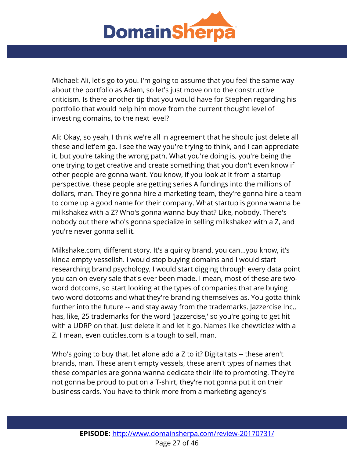

Michael: Ali, let's go to you. I'm going to assume that you feel the same way about the portfolio as Adam, so let's just move on to the constructive criticism. Is there another tip that you would have for Stephen regarding his portfolio that would help him move from the current thought level of investing domains, to the next level?

Ali: Okay, so yeah, I think we're all in agreement that he should just delete all these and let'em go. I see the way you're trying to think, and I can appreciate it, but you're taking the wrong path. What you're doing is, you're being the one trying to get creative and create something that you don't even know if other people are gonna want. You know, if you look at it from a startup perspective, these people are getting series A fundings into the millions of dollars, man. They're gonna hire a marketing team, they're gonna hire a team to come up a good name for their company. What startup is gonna wanna be milkshakez with a Z? Who's gonna wanna buy that? Like, nobody. There's nobody out there who's gonna specialize in selling milkshakez with a Z, and you're never gonna sell it.

Milkshake.com, different story. It's a quirky brand, you can...you know, it's kinda empty vesselish. I would stop buying domains and I would start researching brand psychology, I would start digging through every data point you can on every sale that's ever been made. I mean, most of these are twoword dotcoms, so start looking at the types of companies that are buying two-word dotcoms and what they're branding themselves as. You gotta think further into the future -- and stay away from the trademarks. Jazzercise Inc., has, like, 25 trademarks for the word 'Jazzercise,' so you're going to get hit with a UDRP on that. Just delete it and let it go. Names like chewticlez with a Z. I mean, even cuticles.com is a tough to sell, man.

Who's going to buy that, let alone add a Z to it? Digitaltats -- these aren't brands, man. These aren't empty vessels, these aren't types of names that these companies are gonna wanna dedicate their life to promoting. They're not gonna be proud to put on a T-shirt, they're not gonna put it on their business cards. You have to think more from a marketing agency's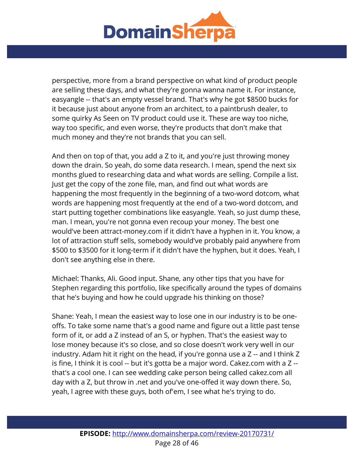

perspective, more from a brand perspective on what kind of product people are selling these days, and what they're gonna wanna name it. For instance, easyangle -- that's an empty vessel brand. That's why he got \$8500 bucks for it because just about anyone from an architect, to a paintbrush dealer, to some quirky As Seen on TV product could use it. These are way too niche, way too specific, and even worse, they're products that don't make that much money and they're not brands that you can sell.

And then on top of that, you add a Z to it, and you're just throwing money down the drain. So yeah, do some data research. I mean, spend the next six months glued to researching data and what words are selling. Compile a list. Just get the copy of the zone file, man, and find out what words are happening the most frequently in the beginning of a two-word dotcom, what words are happening most frequently at the end of a two-word dotcom, and start putting together combinations like easyangle. Yeah, so just dump these, man. I mean, you're not gonna even recoup your money. The best one would've been attract-money.com if it didn't have a hyphen in it. You know, a lot of attraction stuff sells, somebody would've probably paid anywhere from \$500 to \$3500 for it long-term if it didn't have the hyphen, but it does. Yeah, I don't see anything else in there.

Michael: Thanks, Ali. Good input. Shane, any other tips that you have for Stephen regarding this portfolio, like specifically around the types of domains that he's buying and how he could upgrade his thinking on those?

Shane: Yeah, I mean the easiest way to lose one in our industry is to be oneoffs. To take some name that's a good name and figure out a little past tense form of it, or add a Z instead of an S, or hyphen. That's the easiest way to lose money because it's so close, and so close doesn't work very well in our industry. Adam hit it right on the head, if you're gonna use a Z -- and I think Z is fine, I think it is cool -- but it's gotta be a major word. Cakez.com with a Z - that's a cool one. I can see wedding cake person being called cakez.com all day with a Z, but throw in .net and you've one-offed it way down there. So, yeah, I agree with these guys, both of'em, I see what he's trying to do.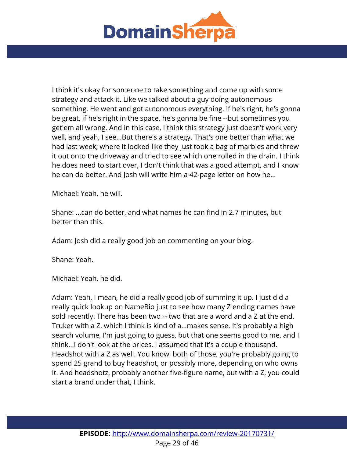

I think it's okay for someone to take something and come up with some strategy and attack it. Like we talked about a guy doing autonomous something. He went and got autonomous everything. If he's right, he's gonna be great, if he's right in the space, he's gonna be fine --but sometimes you get'em all wrong. And in this case, I think this strategy just doesn't work very well, and yeah, I see...But there's a strategy. That's one better than what we had last week, where it looked like they just took a bag of marbles and threw it out onto the driveway and tried to see which one rolled in the drain. I think he does need to start over, I don't think that was a good attempt, and I know he can do better. And Josh will write him a 42-page letter on how he...

Michael: Yeah, he will.

Shane: ...can do better, and what names he can find in 2.7 minutes, but better than this.

Adam: Josh did a really good job on commenting on your blog.

Shane: Yeah.

Michael: Yeah, he did.

Adam: Yeah, I mean, he did a really good job of summing it up. I just did a really quick lookup on NameBio just to see how many Z ending names have sold recently. There has been two -- two that are a word and a Z at the end. Truker with a Z, which I think is kind of a...makes sense. It's probably a high search volume, I'm just going to guess, but that one seems good to me, and I think...I don't look at the prices, I assumed that it's a couple thousand. Headshot with a Z as well. You know, both of those, you're probably going to spend 25 grand to buy headshot, or possibly more, depending on who owns it. And headshotz, probably another five-figure name, but with a Z, you could start a brand under that, I think.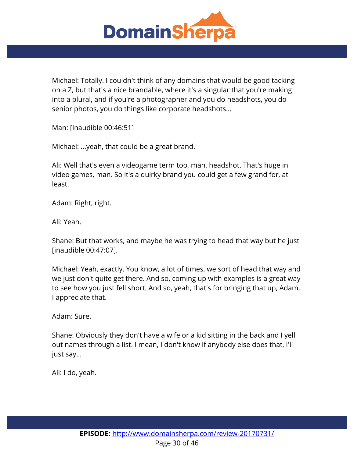

Michael: Totally. I couldn't think of any domains that would be good tacking on a Z, but that's a nice brandable, where it's a singular that you're making into a plural, and if you're a photographer and you do headshots, you do senior photos, you do things like corporate headshots...

Man: [inaudible 00:46:51]

Michael: ...yeah, that could be a great brand.

Ali: Well that's even a videogame term too, man, headshot. That's huge in video games, man. So it's a quirky brand you could get a few grand for, at least.

Adam: Right, right.

Ali: Yeah.

Shane: But that works, and maybe he was trying to head that way but he just [inaudible 00:47:07].

Michael: Yeah, exactly. You know, a lot of times, we sort of head that way and we just don't quite get there. And so, coming up with examples is a great way to see how you just fell short. And so, yeah, that's for bringing that up, Adam. I appreciate that.

Adam: Sure.

Shane: Obviously they don't have a wife or a kid sitting in the back and I yell out names through a list. I mean, I don't know if anybody else does that, I'll just say...

Ali: I do, yeah.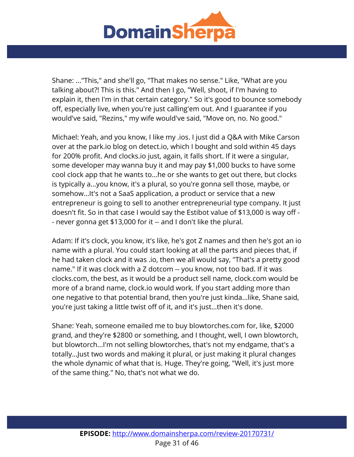

Shane: ..."This," and she'll go, "That makes no sense." Like, "What are you talking about?! This is this." And then I go, "Well, shoot, if I'm having to explain it, then I'm in that certain category." So it's good to bounce somebody off, especially live, when you're just calling'em out. And I guarantee if you would've said, "Rezins," my wife would've said, "Move on, no. No good."

Michael: Yeah, and you know, I like my .ios. I just did a Q&A with Mike Carson over at the park.io blog on detect.io, which I bought and sold within 45 days for 200% profit. And clocks.io just, again, it falls short. If it were a singular, some developer may wanna buy it and may pay \$1,000 bucks to have some cool clock app that he wants to...he or she wants to get out there, but clocks is typically a...you know, it's a plural, so you're gonna sell those, maybe, or somehow...It's not a SaaS application, a product or service that a new entrepreneur is going to sell to another entrepreneurial type company. It just doesn't fit. So in that case I would say the Estibot value of \$13,000 is way off - - never gonna get \$13,000 for it -- and I don't like the plural.

Adam: If it's clock, you know, it's like, he's got Z names and then he's got an io name with a plural. You could start looking at all the parts and pieces that, if he had taken clock and it was .io, then we all would say, "That's a pretty good name." If it was clock with a Z dotcom -- you know, not too bad. If it was clocks.com, the best, as it would be a product sell name, clock.com would be more of a brand name, clock.io would work. If you start adding more than one negative to that potential brand, then you're just kinda...like, Shane said, you're just taking a little twist off of it, and it's just...then it's done.

Shane: Yeah, someone emailed me to buy blowtorches.com for, like, \$2000 grand, and they're \$2800 or something, and I thought, well, I own blowtorch, but blowtorch...I'm not selling blowtorches, that's not my endgame, that's a totally...Just two words and making it plural, or just making it plural changes the whole dynamic of what that is. Huge. They're going, "Well, it's just more of the same thing." No, that's not what we do.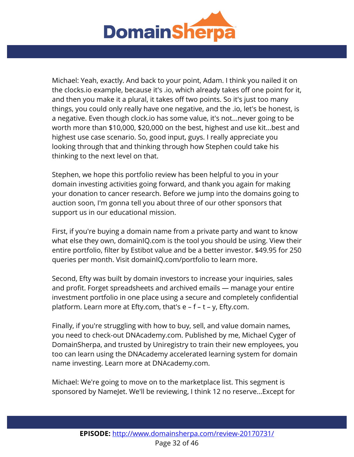

Michael: Yeah, exactly. And back to your point, Adam. I think you nailed it on the clocks.io example, because it's .io, which already takes off one point for it, and then you make it a plural, it takes off two points. So it's just too many things, you could only really have one negative, and the .io, let's be honest, is a negative. Even though clock.io has some value, it's not...never going to be worth more than \$10,000, \$20,000 on the best, highest and use kit...best and highest use case scenario. So, good input, guys. I really appreciate you looking through that and thinking through how Stephen could take his thinking to the next level on that.

Stephen, we hope this portfolio review has been helpful to you in your domain investing activities going forward, and thank you again for making your donation to cancer research. Before we jump into the domains going to auction soon, I'm gonna tell you about three of our other sponsors that support us in our educational mission.

First, if you're buying a domain name from a private party and want to know what else they own, domainIQ.com is the tool you should be using. View their entire portfolio, filter by Estibot value and be a better investor. \$49.95 for 250 queries per month. Visit domainIQ.com/portfolio to learn more.

Second, Efty was built by domain investors to increase your inquiries, sales and profit. Forget spreadsheets and archived emails — manage your entire investment portfolio in one place using a secure and completely confidential platform. Learn more at Efty.com, that's e – f – t – y, Efty.com.

Finally, if you're struggling with how to buy, sell, and value domain names, you need to check-out DNAcademy.com. Published by me, Michael Cyger of DomainSherpa, and trusted by Uniregistry to train their new employees, you too can learn using the DNAcademy accelerated learning system for domain name investing. Learn more at DNAcademy.com.

Michael: We're going to move on to the marketplace list. This segment is sponsored by NameJet. We'll be reviewing, I think 12 no reserve...Except for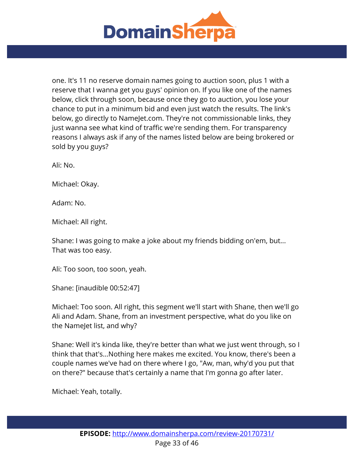

one. It's 11 no reserve domain names going to auction soon, plus 1 with a reserve that I wanna get you guys' opinion on. If you like one of the names below, click through soon, because once they go to auction, you lose your chance to put in a minimum bid and even just watch the results. The link's below, go directly to NameJet.com. They're not commissionable links, they just wanna see what kind of traffic we're sending them. For transparency reasons I always ask if any of the names listed below are being brokered or sold by you guys?

Ali: No.

Michael: Okay.

Adam: No.

Michael: All right.

Shane: I was going to make a joke about my friends bidding on'em, but... That was too easy.

Ali: Too soon, too soon, yeah.

Shane: [inaudible 00:52:47]

Michael: Too soon. All right, this segment we'll start with Shane, then we'll go Ali and Adam. Shane, from an investment perspective, what do you like on the NameJet list, and why?

Shane: Well it's kinda like, they're better than what we just went through, so I think that that's...Nothing here makes me excited. You know, there's been a couple names we've had on there where I go, "Aw, man, why'd you put that on there?" because that's certainly a name that I'm gonna go after later.

Michael: Yeah, totally.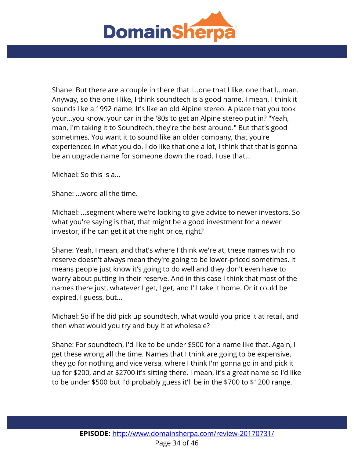

Shane: But there are a couple in there that I...one that I like, one that I...man. Anyway, so the one I like, I think soundtech is a good name. I mean, I think it sounds like a 1992 name. It's like an old Alpine stereo. A place that you took your...you know, your car in the '80s to get an Alpine stereo put in? "Yeah, man, I'm taking it to Soundtech, they're the best around." But that's good sometimes. You want it to sound like an older company, that you're experienced in what you do. I do like that one a lot, I think that that is gonna be an upgrade name for someone down the road. I use that...

Michael: So this is a...

Shane: ...word all the time.

Michael: ...segment where we're looking to give advice to newer investors. So what you're saying is that, that might be a good investment for a newer investor, if he can get it at the right price, right?

Shane: Yeah, I mean, and that's where I think we're at, these names with no reserve doesn't always mean they're going to be lower-priced sometimes. It means people just know it's going to do well and they don't even have to worry about putting in their reserve. And in this case I think that most of the names there just, whatever I get, I get, and I'll take it home. Or it could be expired, I guess, but...

Michael: So if he did pick up soundtech, what would you price it at retail, and then what would you try and buy it at wholesale?

Shane: For soundtech, I'd like to be under \$500 for a name like that. Again, I get these wrong all the time. Names that I think are going to be expensive, they go for nothing and vice versa, where I think I'm gonna go in and pick it up for \$200, and at \$2700 it's sitting there. I mean, it's a great name so I'd like to be under \$500 but I'd probably guess it'll be in the \$700 to \$1200 range.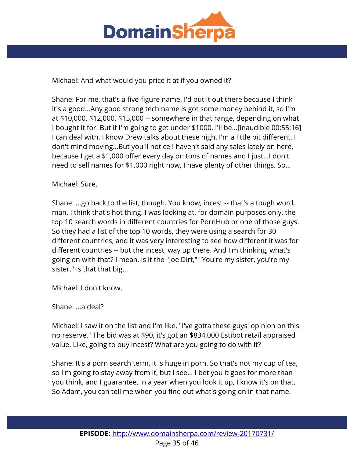

Michael: And what would you price it at if you owned it?

Shane: For me, that's a five-figure name. I'd put it out there because I think it's a good...Any good strong tech name is got some money behind it, so I'm at \$10,000, \$12,000, \$15,000 -- somewhere in that range, depending on what I bought it for. But if I'm going to get under \$1000, I'll be...[inaudible 00:55:16] I can deal with. I know Drew talks about these high. I'm a little bit different, I don't mind moving...But you'll notice I haven't said any sales lately on here, because I get a \$1,000 offer every day on tons of names and I just...I don't need to sell names for \$1,000 right now, I have plenty of other things. So...

## Michael: Sure.

Shane: ...go back to the list, though. You know, incest -- that's a tough word, man. I think that's hot thing. I was looking at, for domain purposes only, the top 10 search words in different countries for PornHub or one of those guys. So they had a list of the top 10 words, they were using a search for 30 different countries, and it was very interesting to see how different it was for different countries -- but the incest, way up there. And I'm thinking, what's going on with that? I mean, is it the "Joe Dirt," "You're my sister, you're my sister." Is that that big...

Michael: I don't know.

Shane: ...a deal?

Michael: I saw it on the list and I'm like, "I've gotta these guys' opinion on this no reserve." The bid was at \$90, it's got an \$834,000 Estibot retail appraised value. Like, going to buy incest? What are you going to do with it?

Shane: It's a porn search term, it is huge in porn. So that's not my cup of tea, so I'm going to stay away from it, but I see... I bet you it goes for more than you think, and I guarantee, in a year when you look it up, I know it's on that. So Adam, you can tell me when you find out what's going on in that name.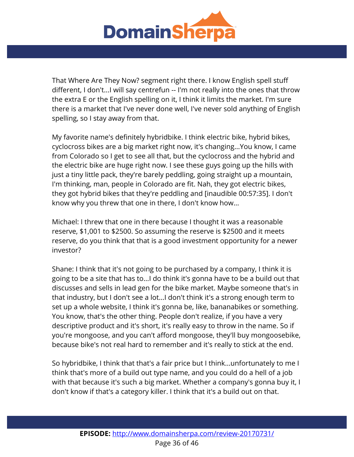

That Where Are They Now? segment right there. I know English spell stuff different, I don't...I will say centrefun -- I'm not really into the ones that throw the extra E or the English spelling on it, I think it limits the market. I'm sure there is a market that I've never done well, I've never sold anything of English spelling, so I stay away from that.

My favorite name's definitely hybridbike. I think electric bike, hybrid bikes, cyclocross bikes are a big market right now, it's changing...You know, I came from Colorado so I get to see all that, but the cyclocross and the hybrid and the electric bike are huge right now. I see these guys going up the hills with just a tiny little pack, they're barely peddling, going straight up a mountain, I'm thinking, man, people in Colorado are fit. Nah, they got electric bikes, they got hybrid bikes that they're peddling and [inaudible 00:57:35]. I don't know why you threw that one in there, I don't know how...

Michael: I threw that one in there because I thought it was a reasonable reserve, \$1,001 to \$2500. So assuming the reserve is \$2500 and it meets reserve, do you think that that is a good investment opportunity for a newer investor?

Shane: I think that it's not going to be purchased by a company, I think it is going to be a site that has to...I do think it's gonna have to be a build out that discusses and sells in lead gen for the bike market. Maybe someone that's in that industry, but I don't see a lot...I don't think it's a strong enough term to set up a whole website, I think it's gonna be, like, bananabikes or something. You know, that's the other thing. People don't realize, if you have a very descriptive product and it's short, it's really easy to throw in the name. So if you're mongoose, and you can't afford mongoose, they'll buy mongoosebike, because bike's not real hard to remember and it's really to stick at the end.

So hybridbike, I think that that's a fair price but I think...unfortunately to me I think that's more of a build out type name, and you could do a hell of a job with that because it's such a big market. Whether a company's gonna buy it, I don't know if that's a category killer. I think that it's a build out on that.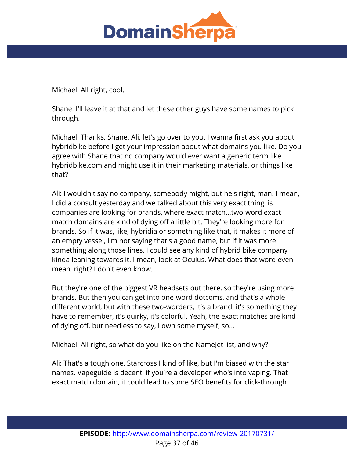

Michael: All right, cool.

Shane: I'll leave it at that and let these other guys have some names to pick through.

Michael: Thanks, Shane. Ali, let's go over to you. I wanna first ask you about hybridbike before I get your impression about what domains you like. Do you agree with Shane that no company would ever want a generic term like hybridbike.com and might use it in their marketing materials, or things like that?

Ali: I wouldn't say no company, somebody might, but he's right, man. I mean, I did a consult yesterday and we talked about this very exact thing, is companies are looking for brands, where exact match...two-word exact match domains are kind of dying off a little bit. They're looking more for brands. So if it was, like, hybridia or something like that, it makes it more of an empty vessel, I'm not saying that's a good name, but if it was more something along those lines, I could see any kind of hybrid bike company kinda leaning towards it. I mean, look at Oculus. What does that word even mean, right? I don't even know.

But they're one of the biggest VR headsets out there, so they're using more brands. But then you can get into one-word dotcoms, and that's a whole different world, but with these two-worders, it's a brand, it's something they have to remember, it's quirky, it's colorful. Yeah, the exact matches are kind of dying off, but needless to say, I own some myself, so...

Michael: All right, so what do you like on the NameJet list, and why?

Ali: That's a tough one. Starcross I kind of like, but I'm biased with the star names. Vapeguide is decent, if you're a developer who's into vaping. That exact match domain, it could lead to some SEO benefits for click-through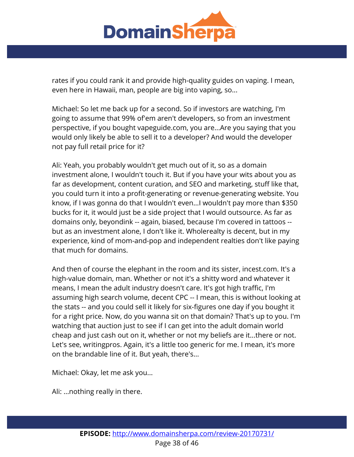

rates if you could rank it and provide high-quality guides on vaping. I mean, even here in Hawaii, man, people are big into vaping, so...

Michael: So let me back up for a second. So if investors are watching, I'm going to assume that 99% of'em aren't developers, so from an investment perspective, if you bought vapeguide.com, you are...Are you saying that you would only likely be able to sell it to a developer? And would the developer not pay full retail price for it?

Ali: Yeah, you probably wouldn't get much out of it, so as a domain investment alone, I wouldn't touch it. But if you have your wits about you as far as development, content curation, and SEO and marketing, stuff like that, you could turn it into a profit-generating or revenue-generating website. You know, if I was gonna do that I wouldn't even...I wouldn't pay more than \$350 bucks for it, it would just be a side project that I would outsource. As far as domains only, beyondink -- again, biased, because I'm covered in tattoos - but as an investment alone, I don't like it. Wholerealty is decent, but in my experience, kind of mom-and-pop and independent realties don't like paying that much for domains.

And then of course the elephant in the room and its sister, incest.com. It's a high-value domain, man. Whether or not it's a shitty word and whatever it means, I mean the adult industry doesn't care. It's got high traffic, I'm assuming high search volume, decent CPC -- I mean, this is without looking at the stats -- and you could sell it likely for six-figures one day if you bought it for a right price. Now, do you wanna sit on that domain? That's up to you. I'm watching that auction just to see if I can get into the adult domain world cheap and just cash out on it, whether or not my beliefs are it...there or not. Let's see, writingpros. Again, it's a little too generic for me. I mean, it's more on the brandable line of it. But yeah, there's...

Michael: Okay, let me ask you...

Ali: ...nothing really in there.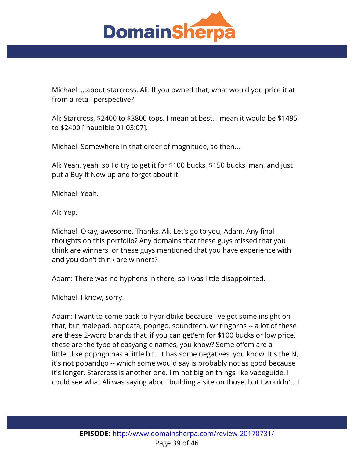

Michael: ...about starcross, Ali. If you owned that, what would you price it at from a retail perspective?

Ali: Starcross, \$2400 to \$3800 tops. I mean at best, I mean it would be \$1495 to \$2400 [inaudible 01:03:07].

Michael: Somewhere in that order of magnitude, so then...

Ali: Yeah, yeah, so I'd try to get it for \$100 bucks, \$150 bucks, man, and just put a Buy It Now up and forget about it.

Michael: Yeah.

Ali: Yep.

Michael: Okay, awesome. Thanks, Ali. Let's go to you, Adam. Any final thoughts on this portfolio? Any domains that these guys missed that you think are winners, or these guys mentioned that you have experience with and you don't think are winners?

Adam: There was no hyphens in there, so I was little disappointed.

Michael: I know, sorry.

Adam: I want to come back to hybridbike because I've got some insight on that, but malepad, popdata, popngo, soundtech, writingpros -- a lot of these are these 2-word brands that, if you can get'em for \$100 bucks or low price, these are the type of easyangle names, you know? Some of'em are a little...like popngo has a little bit...it has some negatives, you know. It's the N, it's not popandgo -- which some would say is probably not as good because it's longer. Starcross is another one. I'm not big on things like vapeguide, I could see what Ali was saying about building a site on those, but I wouldn't...I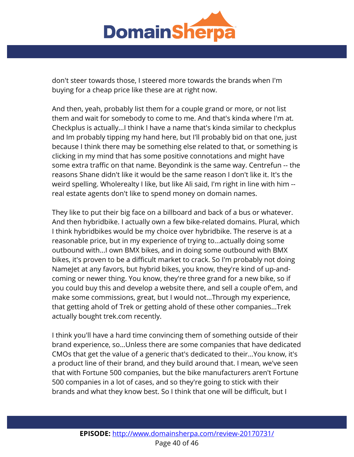

don't steer towards those, I steered more towards the brands when I'm buying for a cheap price like these are at right now.

And then, yeah, probably list them for a couple grand or more, or not list them and wait for somebody to come to me. And that's kinda where I'm at. Checkplus is actually...I think I have a name that's kinda similar to checkplus and Im probably tipping my hand here, but I'll probably bid on that one, just because I think there may be something else related to that, or something is clicking in my mind that has some positive connotations and might have some extra traffic on that name. Beyondink is the same way. Centrefun -- the reasons Shane didn't like it would be the same reason I don't like it. It's the weird spelling. Wholerealty I like, but like Ali said, I'm right in line with him - real estate agents don't like to spend money on domain names.

They like to put their big face on a billboard and back of a bus or whatever. And then hybridbike. I actually own a few bike-related domains. Plural, which I think hybridbikes would be my choice over hybridbike. The reserve is at a reasonable price, but in my experience of trying to...actually doing some outbound with...I own BMX bikes, and in doing some outbound with BMX bikes, it's proven to be a difficult market to crack. So I'm probably not doing NameJet at any favors, but hybrid bikes, you know, they're kind of up-andcoming or newer thing. You know, they're three grand for a new bike, so if you could buy this and develop a website there, and sell a couple of'em, and make some commissions, great, but I would not...Through my experience, that getting ahold of Trek or getting ahold of these other companies...Trek actually bought trek.com recently.

I think you'll have a hard time convincing them of something outside of their brand experience, so...Unless there are some companies that have dedicated CMOs that get the value of a generic that's dedicated to their...You know, it's a product line of their brand, and they build around that. I mean, we've seen that with Fortune 500 companies, but the bike manufacturers aren't Fortune 500 companies in a lot of cases, and so they're going to stick with their brands and what they know best. So I think that one will be difficult, but I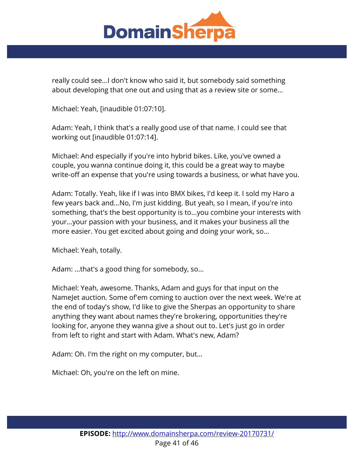

really could see...I don't know who said it, but somebody said something about developing that one out and using that as a review site or some...

Michael: Yeah, [inaudible 01:07:10].

Adam: Yeah, I think that's a really good use of that name. I could see that working out [inaudible 01:07:14].

Michael: And especially if you're into hybrid bikes. Like, you've owned a couple, you wanna continue doing it, this could be a great way to maybe write-off an expense that you're using towards a business, or what have you.

Adam: Totally. Yeah, like if I was into BMX bikes, I'd keep it. I sold my Haro a few years back and...No, I'm just kidding. But yeah, so I mean, if you're into something, that's the best opportunity is to...you combine your interests with your...your passion with your business, and it makes your business all the more easier. You get excited about going and doing your work, so...

Michael: Yeah, totally.

Adam: ...that's a good thing for somebody, so...

Michael: Yeah, awesome. Thanks, Adam and guys for that input on the NameJet auction. Some of'em coming to auction over the next week. We're at the end of today's show, I'd like to give the Sherpas an opportunity to share anything they want about names they're brokering, opportunities they're looking for, anyone they wanna give a shout out to. Let's just go in order from left to right and start with Adam. What's new, Adam?

Adam: Oh. I'm the right on my computer, but...

Michael: Oh, you're on the left on mine.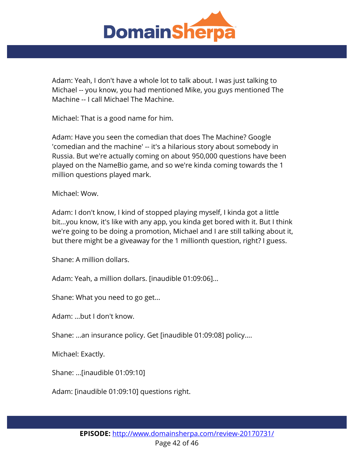

Adam: Yeah, I don't have a whole lot to talk about. I was just talking to Michael -- you know, you had mentioned Mike, you guys mentioned The Machine -- I call Michael The Machine.

Michael: That is a good name for him.

Adam: Have you seen the comedian that does The Machine? Google 'comedian and the machine' -- it's a hilarious story about somebody in Russia. But we're actually coming on about 950,000 questions have been played on the NameBio game, and so we're kinda coming towards the 1 million questions played mark.

Michael: Wow.

Adam: I don't know, I kind of stopped playing myself, I kinda got a little bit...you know, it's like with any app, you kinda get bored with it. But I think we're going to be doing a promotion, Michael and I are still talking about it, but there might be a giveaway for the 1 millionth question, right? I guess.

Shane: A million dollars.

Adam: Yeah, a million dollars. [inaudible 01:09:06]...

Shane: What you need to go get...

Adam: ...but I don't know.

Shane: ...an insurance policy. Get [inaudible 01:09:08] policy....

Michael: Exactly.

Shane: ...[inaudible 01:09:10]

Adam: [inaudible 01:09:10] questions right.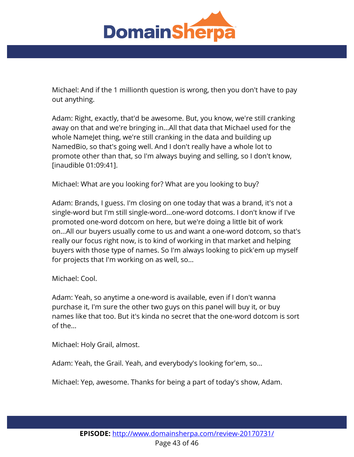

Michael: And if the 1 millionth question is wrong, then you don't have to pay out anything.

Adam: Right, exactly, that'd be awesome. But, you know, we're still cranking away on that and we're bringing in...All that data that Michael used for the whole NameJet thing, we're still cranking in the data and building up NamedBio, so that's going well. And I don't really have a whole lot to promote other than that, so I'm always buying and selling, so I don't know, [inaudible 01:09:41].

Michael: What are you looking for? What are you looking to buy?

Adam: Brands, I guess. I'm closing on one today that was a brand, it's not a single-word but I'm still single-word...one-word dotcoms. I don't know if I've promoted one-word dotcom on here, but we're doing a little bit of work on...All our buyers usually come to us and want a one-word dotcom, so that's really our focus right now, is to kind of working in that market and helping buyers with those type of names. So I'm always looking to pick'em up myself for projects that I'm working on as well, so...

Michael: Cool.

Adam: Yeah, so anytime a one-word is available, even if I don't wanna purchase it, I'm sure the other two guys on this panel will buy it, or buy names like that too. But it's kinda no secret that the one-word dotcom is sort of the...

Michael: Holy Grail, almost.

Adam: Yeah, the Grail. Yeah, and everybody's looking for'em, so...

Michael: Yep, awesome. Thanks for being a part of today's show, Adam.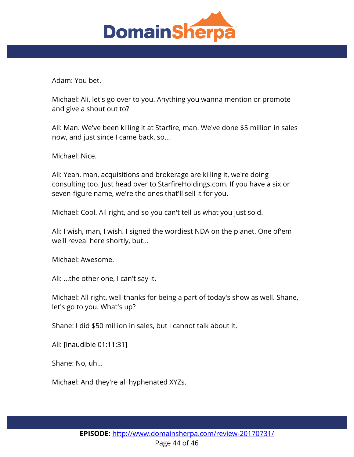

Adam: You bet.

Michael: Ali, let's go over to you. Anything you wanna mention or promote and give a shout out to?

Ali: Man. We've been killing it at Starfire, man. We've done \$5 million in sales now, and just since I came back, so...

Michael: Nice.

Ali: Yeah, man, acquisitions and brokerage are killing it, we're doing consulting too. Just head over to StarfireHoldings.com. If you have a six or seven-figure name, we're the ones that'll sell it for you.

Michael: Cool. All right, and so you can't tell us what you just sold.

Ali: I wish, man, I wish. I signed the wordiest NDA on the planet. One of'em we'll reveal here shortly, but...

Michael: Awesome.

Ali: ...the other one, I can't say it.

Michael: All right, well thanks for being a part of today's show as well. Shane, let's go to you. What's up?

Shane: I did \$50 million in sales, but I cannot talk about it.

Ali: [inaudible 01:11:31]

Shane: No, uh...

Michael: And they're all hyphenated XYZs.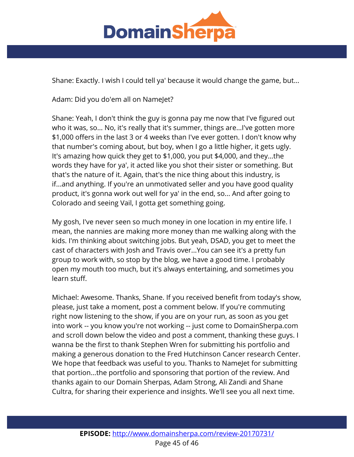

Shane: Exactly. I wish I could tell ya' because it would change the game, but...

Adam: Did you do'em all on Namelet?

Shane: Yeah, I don't think the guy is gonna pay me now that I've figured out who it was, so... No, it's really that it's summer, things are...I've gotten more \$1,000 offers in the last 3 or 4 weeks than I've ever gotten. I don't know why that number's coming about, but boy, when I go a little higher, it gets ugly. It's amazing how quick they get to \$1,000, you put \$4,000, and they...the words they have for ya', it acted like you shot their sister or something. But that's the nature of it. Again, that's the nice thing about this industry, is if...and anything. If you're an unmotivated seller and you have good quality product, it's gonna work out well for ya' in the end, so... And after going to Colorado and seeing Vail, I gotta get something going.

My gosh, I've never seen so much money in one location in my entire life. I mean, the nannies are making more money than me walking along with the kids. I'm thinking about switching jobs. But yeah, DSAD, you get to meet the cast of characters with Josh and Travis over...You can see it's a pretty fun group to work with, so stop by the blog, we have a good time. I probably open my mouth too much, but it's always entertaining, and sometimes you learn stuff.

Michael: Awesome. Thanks, Shane. If you received benefit from today's show, please, just take a moment, post a comment below. If you're commuting right now listening to the show, if you are on your run, as soon as you get into work -- you know you're not working -- just come to DomainSherpa.com and scroll down below the video and post a comment, thanking these guys. I wanna be the first to thank Stephen Wren for submitting his portfolio and making a generous donation to the Fred Hutchinson Cancer research Center. We hope that feedback was useful to you. Thanks to Namelet for submitting that portion...the portfolio and sponsoring that portion of the review. And thanks again to our Domain Sherpas, Adam Strong, Ali Zandi and Shane Cultra, for sharing their experience and insights. We'll see you all next time.